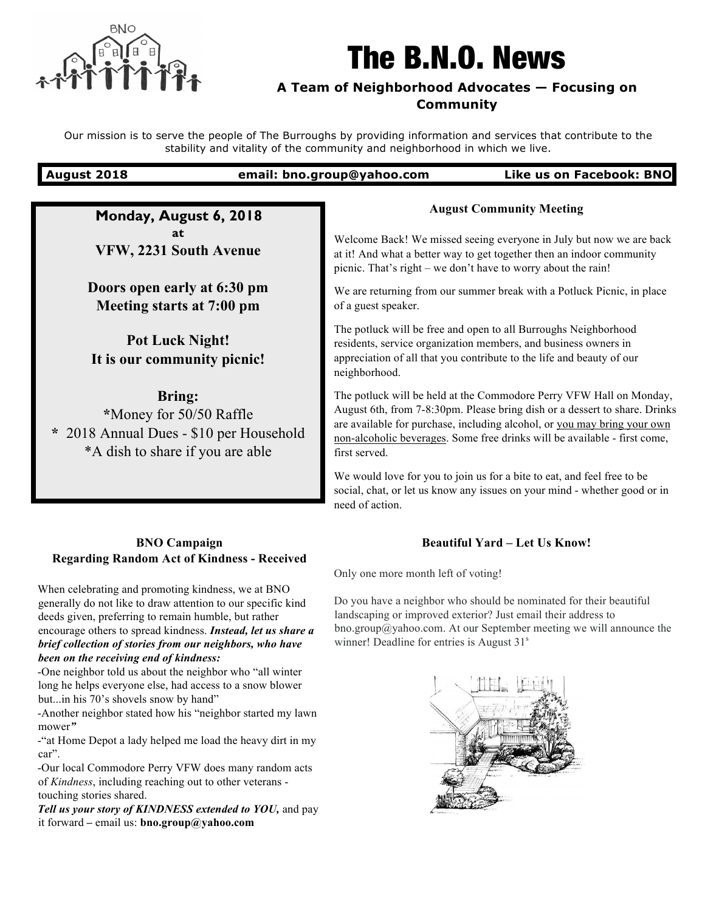

# The B.N.O. News

# **A Team of Neighborhood Advocates — Focusing on Community**

Our mission is to serve the people of The Burroughs by providing information and services that contribute to the stability and vitality of the community and neighborhood in which we live.

## **August 2018 email: bno.group@yahoo.com Like us on Facebook: BNO**

**Monday, August 6, 2018 at VFW, 2231 South Avenue**

**Doors open early at 6:30 pm Meeting starts at 7:00 pm**

**Pot Luck Night! It is our community picnic!**

**Bring:** 

**\***Money for 50/50 Raffle **\*** 2018 Annual Dues - \$10 per Household \*A dish to share if you are able

# **BNO Campaign Regarding Random Act of Kindness - Received**

When celebrating and promoting kindness, we at BNO generally do not like to draw attention to our specific kind deeds given, preferring to remain humble, but rather encourage others to spread kindness. *Instead, let us share a brief collection of stories from our neighbors, who have been on the receiving end of kindness:*

-One neighbor told us about the neighbor who "all winter long he helps everyone else, had access to a snow blower but...in his 70's shovels snow by hand"

-Another neighbor stated how his "neighbor started my lawn mower*"*

-"at Home Depot a lady helped me load the heavy dirt in my car".

-Our local Commodore Perry VFW does many random acts of *Kindness*, including reaching out to other veterans touching stories shared.

*Tell us your story of KINDNESS extended to YOU,* and pay it forward *–* email us: **bno.group@yahoo.com**

# **August Community Meeting**

Welcome Back! We missed seeing everyone in July but now we are back at it! And what a better way to get together then an indoor community picnic. That's right – we don't have to worry about the rain!

We are returning from our summer break with a Potluck Picnic, in place of a guest speaker.

The potluck will be free and open to all Burroughs Neighborhood residents, service organization members, and business owners in appreciation of all that you contribute to the life and beauty of our neighborhood.

The potluck will be held at the Commodore Perry VFW Hall on Monday, August 6th, from 7-8:30pm. Please bring dish or a dessert to share. Drinks are available for purchase, including alcohol, or you may bring your own non-alcoholic beverages. Some free drinks will be available - first come, first served.

We would love for you to join us for a bite to eat, and feel free to be social, chat, or let us know any issues on your mind - whether good or in need of action.

# **Beautiful Yard – Let Us Know!**

Only one more month left of voting!

Do you have a neighbor who should be nominated for their beautiful landscaping or improved exterior? Just email their address to bno.group@yahoo.com. At our September meeting we will announce the winner! Deadline for entries is August 31<sup>s</sup>